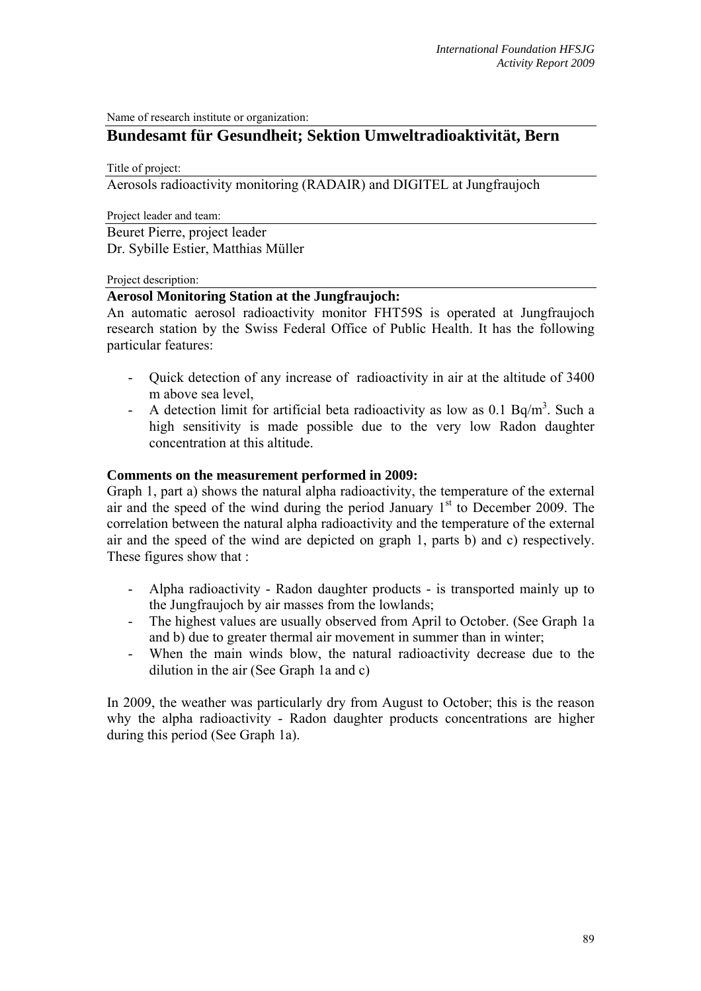Name of research institute or organization:

# **Bundesamt für Gesundheit; Sektion Umweltradioaktivität, Bern**

Title of project:

Aerosols radioactivity monitoring (RADAIR) and DIGITEL at Jungfraujoch

Project leader and team:

Beuret Pierre, project leader Dr. Sybille Estier, Matthias Müller

#### Project description:

## **Aerosol Monitoring Station at the Jungfraujoch:**

An automatic aerosol radioactivity monitor FHT59S is operated at Jungfraujoch research station by the Swiss Federal Office of Public Health. It has the following particular features:

- Quick detection of any increase of radioactivity in air at the altitude of 3400 m above sea level,
- A detection limit for artificial beta radioactivity as low as 0.1 Bq/m<sup>3</sup>. Such a high sensitivity is made possible due to the very low Radon daughter concentration at this altitude.

#### **Comments on the measurement performed in 2009:**

Graph 1, part a) shows the natural alpha radioactivity, the temperature of the external air and the speed of the wind during the period January  $1<sup>st</sup>$  to December 2009. The correlation between the natural alpha radioactivity and the temperature of the external air and the speed of the wind are depicted on graph 1, parts b) and c) respectively. These figures show that :

- Alpha radioactivity Radon daughter products is transported mainly up to the Jungfraujoch by air masses from the lowlands;
- The highest values are usually observed from April to October. (See Graph 1a and b) due to greater thermal air movement in summer than in winter;
- When the main winds blow, the natural radioactivity decrease due to the dilution in the air (See Graph 1a and c)

In 2009, the weather was particularly dry from August to October; this is the reason why the alpha radioactivity - Radon daughter products concentrations are higher during this period (See Graph 1a).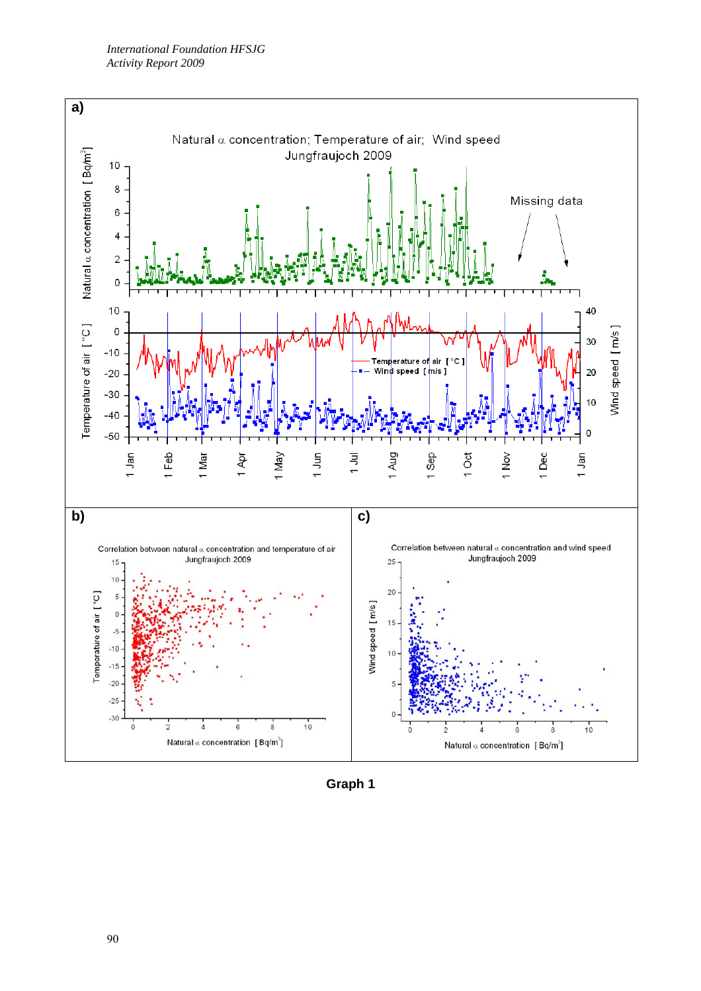

**Graph 1**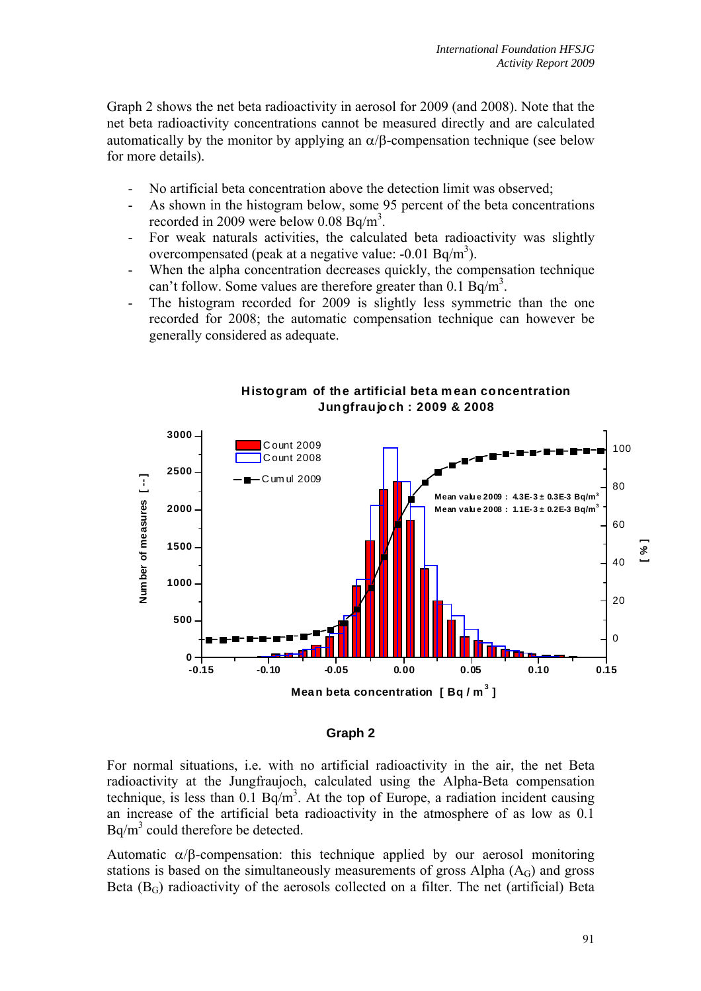Graph 2 shows the net beta radioactivity in aerosol for 2009 (and 2008). Note that the net beta radioactivity concentrations cannot be measured directly and are calculated automatically by the monitor by applying an  $\alpha/\beta$ -compensation technique (see below for more details).

- No artificial beta concentration above the detection limit was observed;
- As shown in the histogram below, some 95 percent of the beta concentrations recorded in 2009 were below 0.08 Bq/m<sup>3</sup>.
- For weak naturals activities, the calculated beta radioactivity was slightly overcompensated (peak at a negative value:  $-0.01$  Bq/m<sup>3</sup>).
- When the alpha concentration decreases quickly, the compensation technique can't follow. Some values are therefore greater than  $0.1 \text{ Bq/m}^3$ .
- The histogram recorded for 2009 is slightly less symmetric than the one recorded for 2008; the automatic compensation technique can however be generally considered as adequate.



### **Histogram of the artificial beta m ean concentration Jungfraujoch : 2009 & 2008**

#### **Graph 2**

For normal situations, i.e. with no artificial radioactivity in the air, the net Beta radioactivity at the Jungfraujoch, calculated using the Alpha-Beta compensation technique, is less than  $0.1$  Bq/m<sup>3</sup>. At the top of Europe, a radiation incident causing an increase of the artificial beta radioactivity in the atmosphere of as low as 0.1  $Bq/m<sup>3</sup>$  could therefore be detected.

Automatic  $\alpha/\beta$ -compensation: this technique applied by our aerosol monitoring stations is based on the simultaneously measurements of gross Alpha  $(A<sub>G</sub>)$  and gross Beta  $(B_G)$  radioactivity of the aerosols collected on a filter. The net (artificial) Beta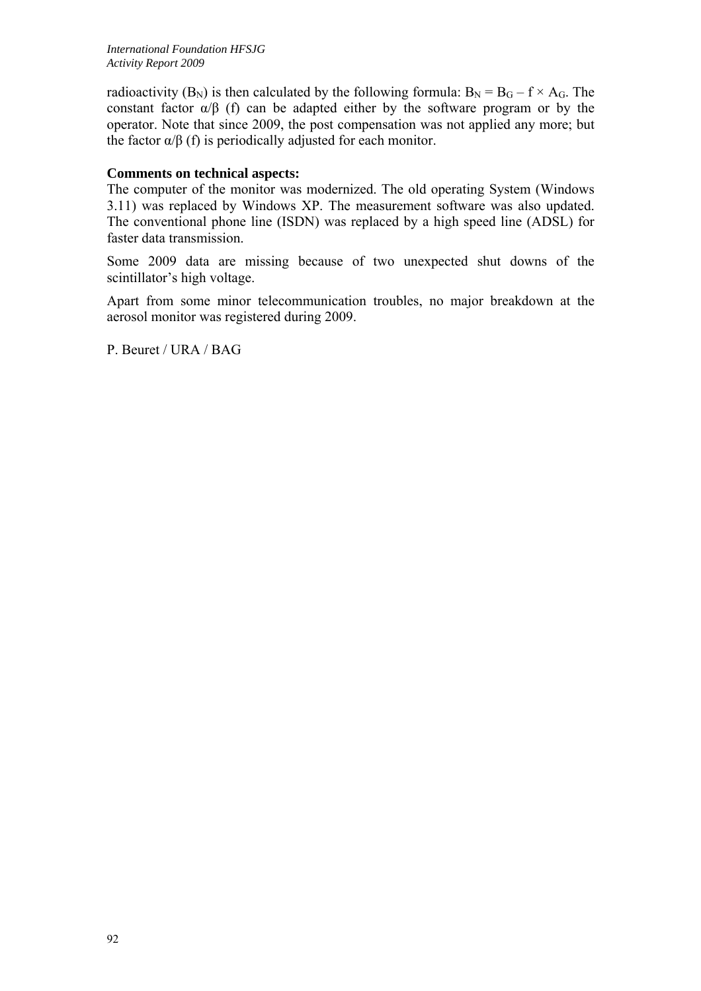radioactivity (B<sub>N</sub>) is then calculated by the following formula:  $B_N = B_G - f \times A_G$ . The constant factor  $\alpha/\beta$  (f) can be adapted either by the software program or by the operator. Note that since 2009, the post compensation was not applied any more; but the factor  $\alpha/\beta$  (f) is periodically adjusted for each monitor.

## **Comments on technical aspects:**

The computer of the monitor was modernized. The old operating System (Windows 3.11) was replaced by Windows XP. The measurement software was also updated. The conventional phone line (ISDN) was replaced by a high speed line (ADSL) for faster data transmission.

Some 2009 data are missing because of two unexpected shut downs of the scintillator's high voltage.

Apart from some minor telecommunication troubles, no major breakdown at the aerosol monitor was registered during 2009.

P. Beuret / URA / BAG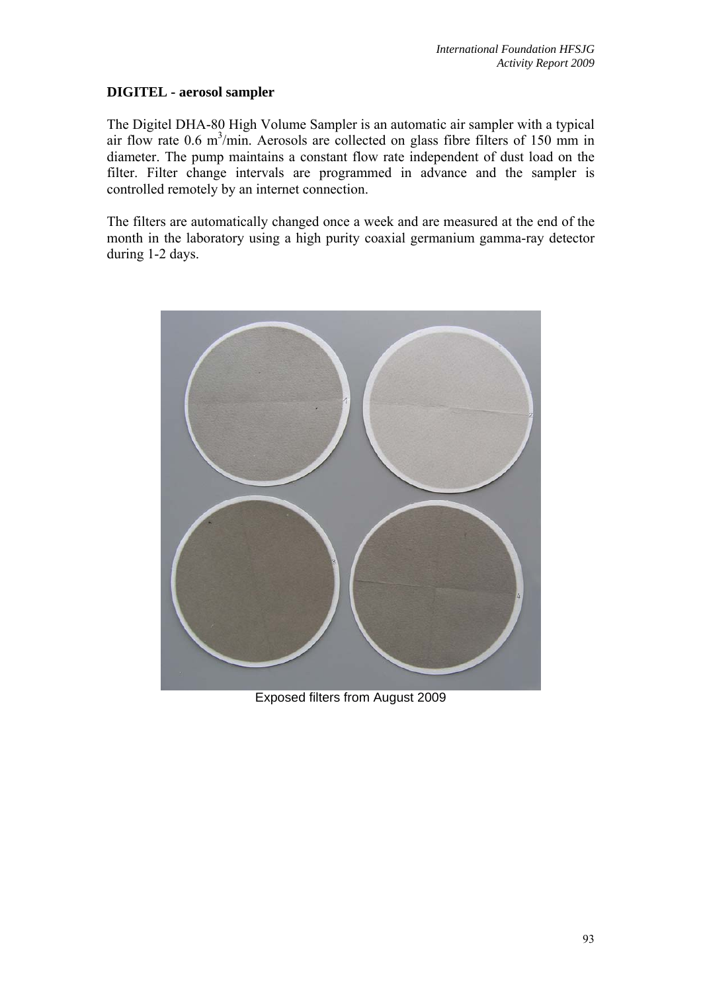# **DIGITEL - aerosol sampler**

The Digitel DHA-80 High Volume Sampler is an automatic air sampler with a typical air flow rate  $0.6 \text{ m}^3/\text{min}$ . Aerosols are collected on glass fibre filters of 150 mm in diameter. The pump maintains a constant flow rate independent of dust load on the filter. Filter change intervals are programmed in advance and the sampler is controlled remotely by an internet connection.

The filters are automatically changed once a week and are measured at the end of the month in the laboratory using a high purity coaxial germanium gamma-ray detector during 1-2 days.



Exposed filters from August 2009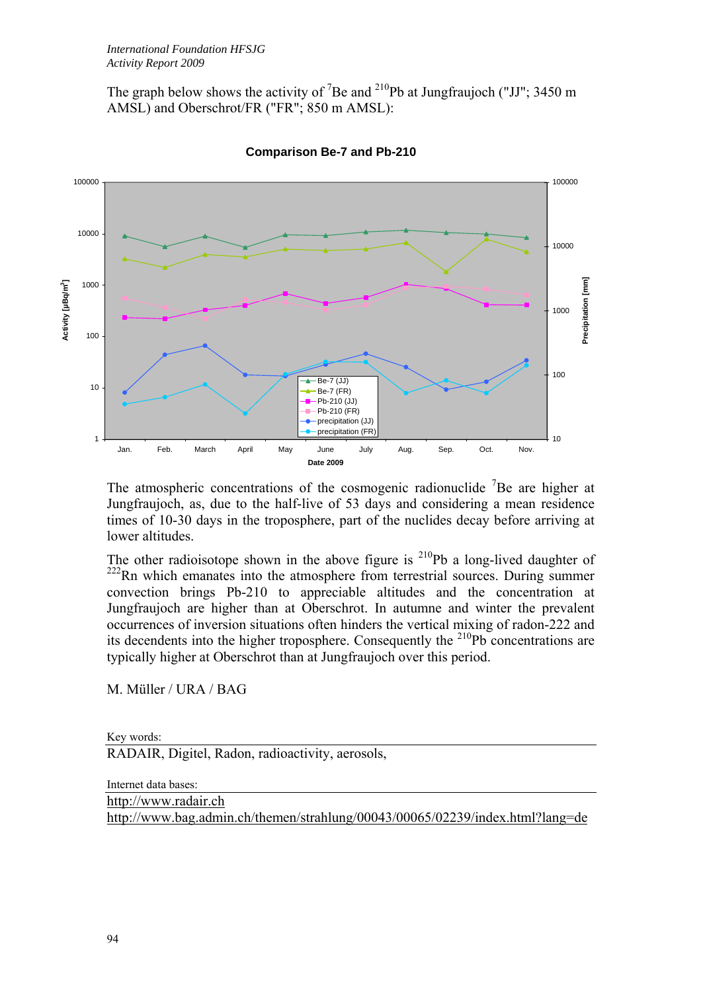The graph below shows the activity of <sup>7</sup>Be and <sup>210</sup>Pb at Jungfraujoch ("JJ"; 3450 m AMSL) and Oberschrot/FR ("FR"; 850 m AMSL):



**Comparison Be-7 and Pb-210**

The atmospheric concentrations of the cosmogenic radionuclide  ${}^{7}$ Be are higher at Jungfraujoch, as, due to the half-live of 53 days and considering a mean residence times of 10-30 days in the troposphere, part of the nuclides decay before arriving at lower altitudes.

The other radioisotope shown in the above figure is  $^{210}Pb$  a long-lived daughter of <sup>222</sup>Rn which emanates into the atmosphere from terrestrial sources. During summer convection brings Pb-210 to appreciable altitudes and the concentration at Jungfraujoch are higher than at Oberschrot. In autumne and winter the prevalent occurrences of inversion situations often hinders the vertical mixing of radon-222 and its decendents into the higher troposphere. Consequently the  $^{210}Pb$  concentrations are typically higher at Oberschrot than at Jungfraujoch over this period.

M. Müller / URA / BAG

Key words:

RADAIR, Digitel, Radon, radioactivity, aerosols,

Internet data bases:

http://www.radair.ch http://www.bag.admin.ch/themen/strahlung/00043/00065/02239/index.html?lang=de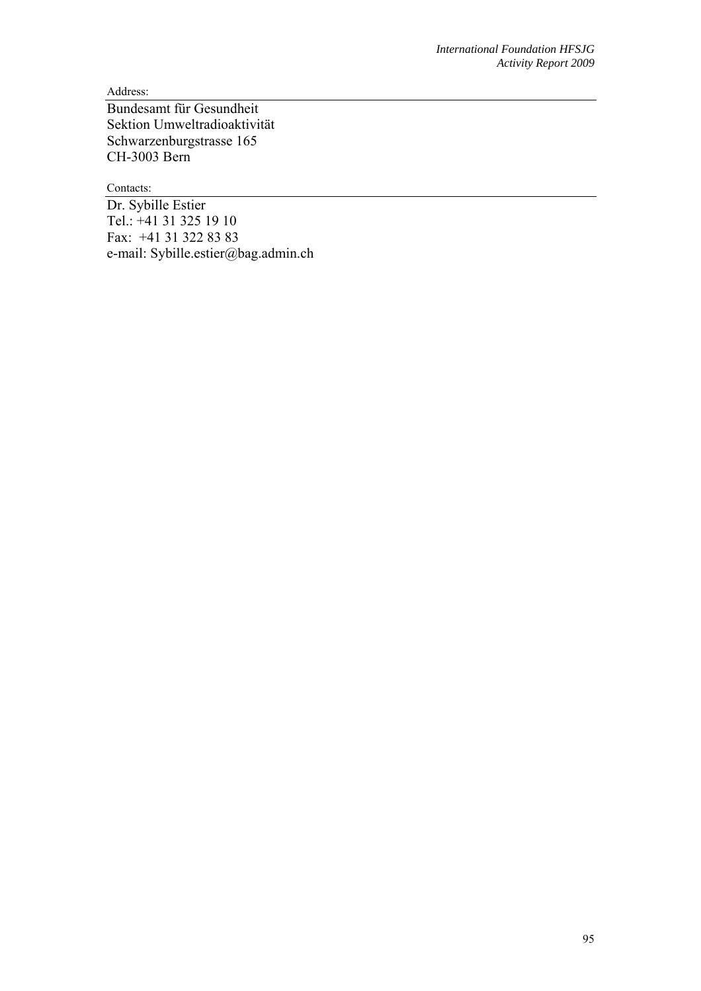Address:

Bundesamt für Gesundheit Sektion Umweltradioaktivität Schwarzenburgstrasse 165 CH-3003 Bern

Contacts:

Dr. Sybille Estier Tel.: +41 31 325 19 10 Fax: +41 31 322 83 83 e-mail: Sybille.estier@bag.admin.ch